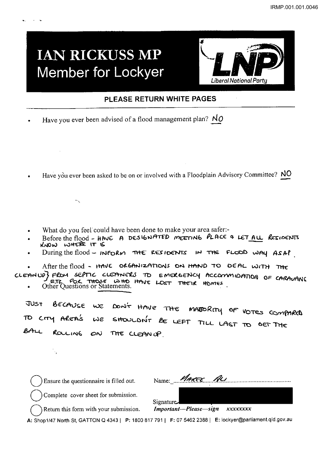## **IAN RICKUSS MP Member for Lockyer**



### PLEASE RETURN WHITE PAGES

- Have you ever been advised of a flood management plan?  $N_O$
- Have you ever been asked to be on or involved with a Floodplain Advisory Committee? NO

- What do you feel could have been done to make your area safer:-
- Before the flood HAVE A DESIGNATED MEETING PLACE & LET ALL RESIDENTS KNOW WHERE IT IS
- During the flood INFORM THE RESIDENTS IN THE FLOOD WAY ASAP
- After the flood HAVE ORGANIZATIONS ON HAND TO DEAL WITH THE

CLEANUP3 FROM SEPTIC CLEANERS TO EMERGENCY ACCOMMIDATION OF CARAVANS Other Cuestions or Statements.

BECAUSE WE DON'T HAVE THE MABORITY OF VOTES COMPARED JUST SHOULDN'T BE LEFT TILL LAST TO GET THE TO CITY AREA'S  $\omega\varepsilon$  $BA-L$ ROLLING THE CLEAN UP  $\mathcal{O}(\mathcal{N})$ 

Ensure the questionnaire is filled out.

Name: *MARCE R*u

Complete cover sheet for submission.

Important-Please-sign xxxxxxxx

Signature.

Return this form with your submission.

A: Shop1/47 North St, GATTON Q 4343 | P: 1800 817 791 | F: 07 5462 2388 | E: lockyer@parliament.qld.gov.au